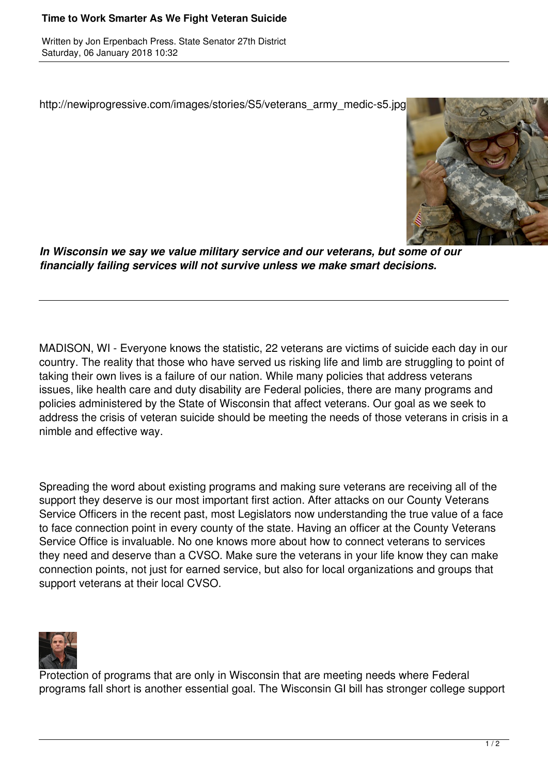## **Time to Work Smarter As We Fight Veteran Suicide**

Written by Jon Erpenbach Press. State Senator 27th District Saturday, 06 January 2018 10:32

http://newiprogressive.com/images/stories/S5/veterans\_army\_medic-s5.jpg



*In Wisconsin we say we value military service and our veterans, but some of our financially failing services will not survive unless we make smart decisions.*

MADISON, WI - Everyone knows the statistic, 22 veterans are victims of suicide each day in our country. The reality that those who have served us risking life and limb are struggling to point of taking their own lives is a failure of our nation. While many policies that address veterans issues, like health care and duty disability are Federal policies, there are many programs and policies administered by the State of Wisconsin that affect veterans. Our goal as we seek to address the crisis of veteran suicide should be meeting the needs of those veterans in crisis in a nimble and effective way.

Spreading the word about existing programs and making sure veterans are receiving all of the support they deserve is our most important first action. After attacks on our County Veterans Service Officers in the recent past, most Legislators now understanding the true value of a face to face connection point in every county of the state. Having an officer at the County Veterans Service Office is invaluable. No one knows more about how to connect veterans to services they need and deserve than a CVSO. Make sure the veterans in your life know they can make connection points, not just for earned service, but also for local organizations and groups that support veterans at their local CVSO.



Protection of programs that are only in Wisconsin that are meeting needs where Federal programs fall short is another essential goal. The Wisconsin GI bill has stronger college support